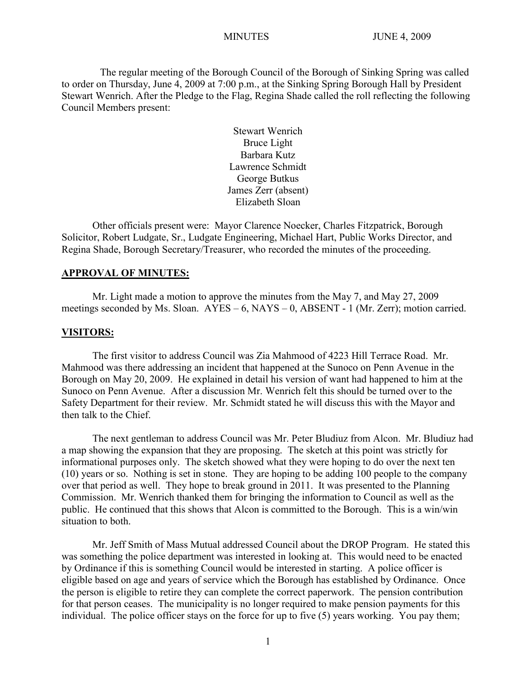The regular meeting of the Borough Council of the Borough of Sinking Spring was called to order on Thursday, June 4, 2009 at 7:00 p.m., at the Sinking Spring Borough Hall by President Stewart Wenrich. After the Pledge to the Flag, Regina Shade called the roll reflecting the following Council Members present:

> Stewart Wenrich Bruce Light Barbara Kutz Lawrence Schmidt George Butkus James Zerr (absent) Elizabeth Sloan

Other officials present were: Mayor Clarence Noecker, Charles Fitzpatrick, Borough Solicitor, Robert Ludgate, Sr., Ludgate Engineering, Michael Hart, Public Works Director, and Regina Shade, Borough Secretary/Treasurer, who recorded the minutes of the proceeding.

## **APPROVAL OF MINUTES:**

Mr. Light made a motion to approve the minutes from the May 7, and May 27, 2009 meetings seconded by Ms. Sloan. AYES – 6, NAYS – 0, ABSENT - 1 (Mr. Zerr); motion carried.

#### **VISITORS:**

The first visitor to address Council was Zia Mahmood of 4223 Hill Terrace Road. Mr. Mahmood was there addressing an incident that happened at the Sunoco on Penn Avenue in the Borough on May 20, 2009. He explained in detail his version of want had happened to him at the Sunoco on Penn Avenue. After a discussion Mr. Wenrich felt this should be turned over to the Safety Department for their review. Mr. Schmidt stated he will discuss this with the Mayor and then talk to the Chief.

The next gentleman to address Council was Mr. Peter Bludiuz from Alcon. Mr. Bludiuz had a map showing the expansion that they are proposing. The sketch at this point was strictly for informational purposes only. The sketch showed what they were hoping to do over the next ten (10) years or so. Nothing is set in stone. They are hoping to be adding 100 people to the company over that period as well. They hope to break ground in 2011. It was presented to the Planning Commission. Mr. Wenrich thanked them for bringing the information to Council as well as the public. He continued that this shows that Alcon is committed to the Borough. This is a win/win situation to both.

Mr. Jeff Smith of Mass Mutual addressed Council about the DROP Program. He stated this was something the police department was interested in looking at. This would need to be enacted by Ordinance if this is something Council would be interested in starting. A police officer is eligible based on age and years of service which the Borough has established by Ordinance. Once the person is eligible to retire they can complete the correct paperwork. The pension contribution for that person ceases. The municipality is no longer required to make pension payments for this individual. The police officer stays on the force for up to five (5) years working. You pay them;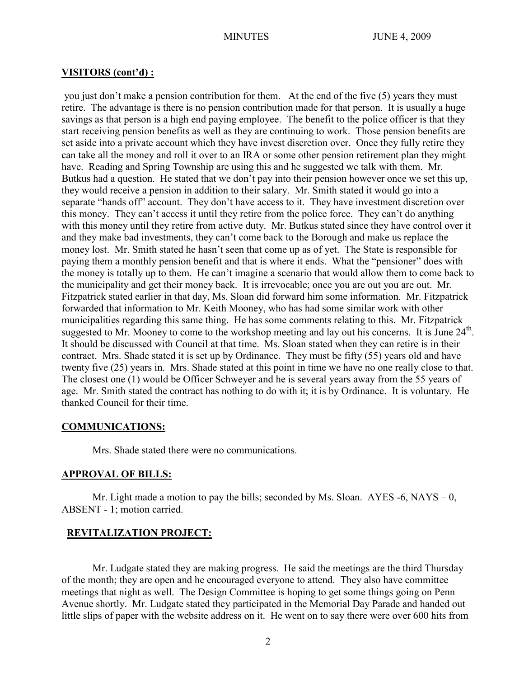### **VISITORS (cont'd) :**

you just don't make a pension contribution for them. At the end of the five (5) years they must retire. The advantage is there is no pension contribution made for that person. It is usually a huge savings as that person is a high end paying employee. The benefit to the police officer is that they start receiving pension benefits as well as they are continuing to work. Those pension benefits are set aside into a private account which they have invest discretion over. Once they fully retire they can take all the money and roll it over to an IRA or some other pension retirement plan they might have. Reading and Spring Township are using this and he suggested we talk with them. Mr. Butkus had a question. He stated that we don't pay into their pension however once we set this up, they would receive a pension in addition to their salary. Mr. Smith stated it would go into a separate "hands off" account. They don't have access to it. They have investment discretion over this money. They can't access it until they retire from the police force. They can't do anything with this money until they retire from active duty. Mr. Butkus stated since they have control over it and they make bad investments, they can't come back to the Borough and make us replace the money lost. Mr. Smith stated he hasn't seen that come up as of yet. The State is responsible for paying them a monthly pension benefit and that is where it ends. What the "pensioner" does with the money is totally up to them. He can't imagine a scenario that would allow them to come back to the municipality and get their money back. It is irrevocable; once you are out you are out. Mr. Fitzpatrick stated earlier in that day, Ms. Sloan did forward him some information. Mr. Fitzpatrick forwarded that information to Mr. Keith Mooney, who has had some similar work with other municipalities regarding this same thing. He has some comments relating to this. Mr. Fitzpatrick suggested to Mr. Mooney to come to the workshop meeting and lay out his concerns. It is June 24<sup>th</sup>. It should be discussed with Council at that time. Ms. Sloan stated when they can retire is in their contract. Mrs. Shade stated it is set up by Ordinance. They must be fifty (55) years old and have twenty five (25) years in. Mrs. Shade stated at this point in time we have no one really close to that. The closest one (1) would be Officer Schweyer and he is several years away from the 55 years of age. Mr. Smith stated the contract has nothing to do with it; it is by Ordinance. It is voluntary. He thanked Council for their time.

### **COMMUNICATIONS:**

Mrs. Shade stated there were no communications.

### **APPROVAL OF BILLS:**

Mr. Light made a motion to pay the bills; seconded by Ms. Sloan.  $AYES -6$ ,  $NAYS -0$ , ABSENT - 1; motion carried.

#### **REVITALIZATION PROJECT:**

Mr. Ludgate stated they are making progress. He said the meetings are the third Thursday of the month; they are open and he encouraged everyone to attend. They also have committee meetings that night as well. The Design Committee is hoping to get some things going on Penn Avenue shortly. Mr. Ludgate stated they participated in the Memorial Day Parade and handed out little slips of paper with the website address on it. He went on to say there were over 600 hits from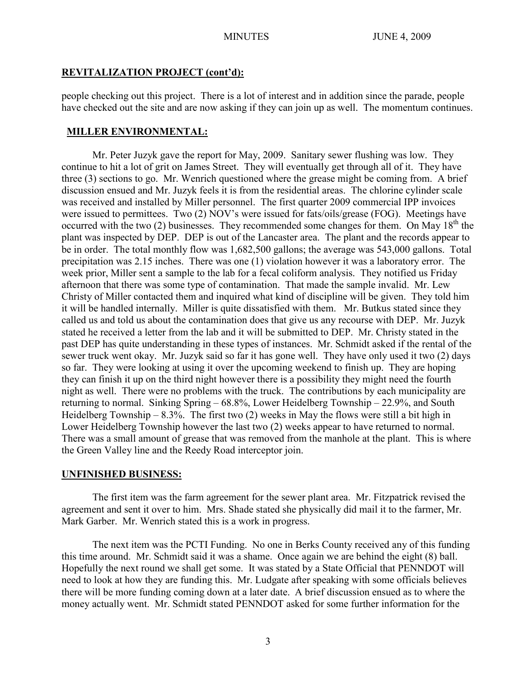# **REVITALIZATION PROJECT (cont'd):**

people checking out this project. There is a lot of interest and in addition since the parade, people have checked out the site and are now asking if they can join up as well. The momentum continues.

# **MILLER ENVIRONMENTAL:**

Mr. Peter Juzyk gave the report for May, 2009. Sanitary sewer flushing was low. They continue to hit a lot of grit on James Street. They will eventually get through all of it. They have three (3) sections to go. Mr. Wenrich questioned where the grease might be coming from. A brief discussion ensued and Mr. Juzyk feels it is from the residential areas. The chlorine cylinder scale was received and installed by Miller personnel. The first quarter 2009 commercial IPP invoices were issued to permittees. Two (2) NOV's were issued for fats/oils/grease (FOG). Meetings have occurred with the two (2) businesses. They recommended some changes for them. On May  $18<sup>th</sup>$  the plant was inspected by DEP. DEP is out of the Lancaster area. The plant and the records appear to be in order. The total monthly flow was 1,682,500 gallons; the average was 543,000 gallons. Total precipitation was 2.15 inches. There was one (1) violation however it was a laboratory error. The week prior, Miller sent a sample to the lab for a fecal coliform analysis. They notified us Friday afternoon that there was some type of contamination. That made the sample invalid. Mr. Lew Christy of Miller contacted them and inquired what kind of discipline will be given. They told him it will be handled internally. Miller is quite dissatisfied with them. Mr. Butkus stated since they called us and told us about the contamination does that give us any recourse with DEP. Mr. Juzyk stated he received a letter from the lab and it will be submitted to DEP. Mr. Christy stated in the past DEP has quite understanding in these types of instances. Mr. Schmidt asked if the rental of the sewer truck went okay. Mr. Juzyk said so far it has gone well. They have only used it two (2) days so far. They were looking at using it over the upcoming weekend to finish up. They are hoping they can finish it up on the third night however there is a possibility they might need the fourth night as well. There were no problems with the truck. The contributions by each municipality are returning to normal. Sinking Spring – 68.8%, Lower Heidelberg Township – 22.9%, and South Heidelberg Township – 8.3%. The first two  $(2)$  weeks in May the flows were still a bit high in Lower Heidelberg Township however the last two (2) weeks appear to have returned to normal. There was a small amount of grease that was removed from the manhole at the plant. This is where the Green Valley line and the Reedy Road interceptor join.

# **UNFINISHED BUSINESS:**

The first item was the farm agreement for the sewer plant area. Mr. Fitzpatrick revised the agreement and sent it over to him. Mrs. Shade stated she physically did mail it to the farmer, Mr. Mark Garber. Mr. Wenrich stated this is a work in progress.

The next item was the PCTI Funding. No one in Berks County received any of this funding this time around. Mr. Schmidt said it was a shame. Once again we are behind the eight (8) ball. Hopefully the next round we shall get some. It was stated by a State Official that PENNDOT will need to look at how they are funding this. Mr. Ludgate after speaking with some officials believes there will be more funding coming down at a later date. A brief discussion ensued as to where the money actually went. Mr. Schmidt stated PENNDOT asked for some further information for the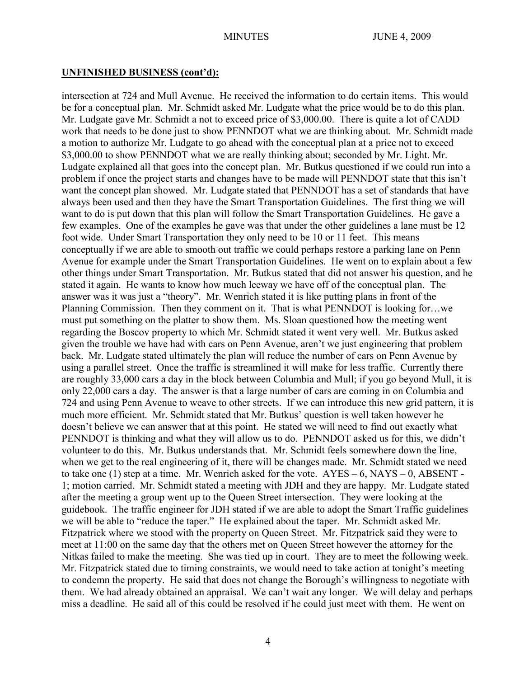## **UNFINISHED BUSINESS (cont'd):**

intersection at 724 and Mull Avenue. He received the information to do certain items. This would be for a conceptual plan. Mr. Schmidt asked Mr. Ludgate what the price would be to do this plan. Mr. Ludgate gave Mr. Schmidt a not to exceed price of \$3,000.00. There is quite a lot of CADD work that needs to be done just to show PENNDOT what we are thinking about. Mr. Schmidt made a motion to authorize Mr. Ludgate to go ahead with the conceptual plan at a price not to exceed \$3,000.00 to show PENNDOT what we are really thinking about; seconded by Mr. Light. Mr. Ludgate explained all that goes into the concept plan. Mr. Butkus questioned if we could run into a problem if once the project starts and changes have to be made will PENNDOT state that this isn't want the concept plan showed. Mr. Ludgate stated that PENNDOT has a set of standards that have always been used and then they have the Smart Transportation Guidelines. The first thing we will want to do is put down that this plan will follow the Smart Transportation Guidelines. He gave a few examples. One of the examples he gave was that under the other guidelines a lane must be 12 foot wide. Under Smart Transportation they only need to be 10 or 11 feet. This means conceptually if we are able to smooth out traffic we could perhaps restore a parking lane on Penn Avenue for example under the Smart Transportation Guidelines. He went on to explain about a few other things under Smart Transportation. Mr. Butkus stated that did not answer his question, and he stated it again. He wants to know how much leeway we have off of the conceptual plan. The answer was it was just a "theory". Mr. Wenrich stated it is like putting plans in front of the Planning Commission. Then they comment on it. That is what PENNDOT is looking for…we must put something on the platter to show them. Ms. Sloan questioned how the meeting went regarding the Boscov property to which Mr. Schmidt stated it went very well. Mr. Butkus asked given the trouble we have had with cars on Penn Avenue, aren't we just engineering that problem back. Mr. Ludgate stated ultimately the plan will reduce the number of cars on Penn Avenue by using a parallel street. Once the traffic is streamlined it will make for less traffic. Currently there are roughly 33,000 cars a day in the block between Columbia and Mull; if you go beyond Mull, it is only 22,000 cars a day. The answer is that a large number of cars are coming in on Columbia and 724 and using Penn Avenue to weave to other streets. If we can introduce this new grid pattern, it is much more efficient. Mr. Schmidt stated that Mr. Butkus' question is well taken however he doesn't believe we can answer that at this point. He stated we will need to find out exactly what PENNDOT is thinking and what they will allow us to do. PENNDOT asked us for this, we didn't volunteer to do this. Mr. Butkus understands that. Mr. Schmidt feels somewhere down the line, when we get to the real engineering of it, there will be changes made. Mr. Schmidt stated we need to take one  $(1)$  step at a time. Mr. Wenrich asked for the vote.  $AYES - 6$ ,  $NAYS - 0$ ,  $ABSENT - 1$ 1; motion carried. Mr. Schmidt stated a meeting with JDH and they are happy. Mr. Ludgate stated after the meeting a group went up to the Queen Street intersection. They were looking at the guidebook. The traffic engineer for JDH stated if we are able to adopt the Smart Traffic guidelines we will be able to "reduce the taper." He explained about the taper. Mr. Schmidt asked Mr. Fitzpatrick where we stood with the property on Queen Street. Mr. Fitzpatrick said they were to meet at 11:00 on the same day that the others met on Queen Street however the attorney for the Nitkas failed to make the meeting. She was tied up in court. They are to meet the following week. Mr. Fitzpatrick stated due to timing constraints, we would need to take action at tonight's meeting to condemn the property. He said that does not change the Borough's willingness to negotiate with them. We had already obtained an appraisal. We can't wait any longer. We will delay and perhaps miss a deadline. He said all of this could be resolved if he could just meet with them. He went on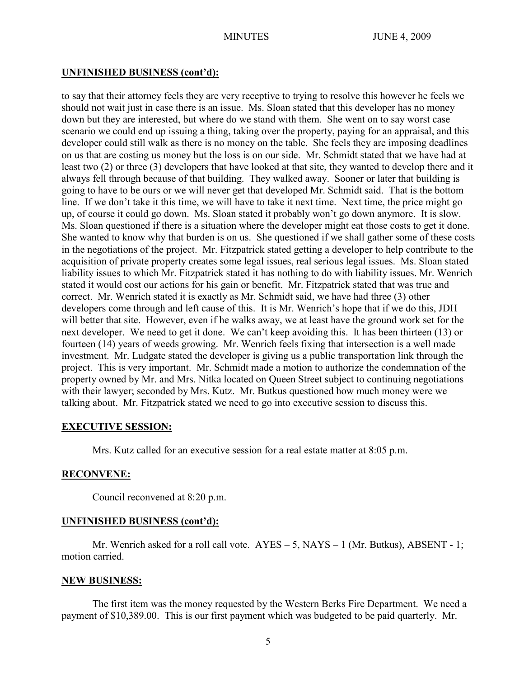## **UNFINISHED BUSINESS (cont'd):**

to say that their attorney feels they are very receptive to trying to resolve this however he feels we should not wait just in case there is an issue. Ms. Sloan stated that this developer has no money down but they are interested, but where do we stand with them. She went on to say worst case scenario we could end up issuing a thing, taking over the property, paying for an appraisal, and this developer could still walk as there is no money on the table. She feels they are imposing deadlines on us that are costing us money but the loss is on our side. Mr. Schmidt stated that we have had at least two (2) or three (3) developers that have looked at that site, they wanted to develop there and it always fell through because of that building. They walked away. Sooner or later that building is going to have to be ours or we will never get that developed Mr. Schmidt said. That is the bottom line. If we don't take it this time, we will have to take it next time. Next time, the price might go up, of course it could go down. Ms. Sloan stated it probably won't go down anymore. It is slow. Ms. Sloan questioned if there is a situation where the developer might eat those costs to get it done. She wanted to know why that burden is on us. She questioned if we shall gather some of these costs in the negotiations of the project. Mr. Fitzpatrick stated getting a developer to help contribute to the acquisition of private property creates some legal issues, real serious legal issues. Ms. Sloan stated liability issues to which Mr. Fitzpatrick stated it has nothing to do with liability issues. Mr. Wenrich stated it would cost our actions for his gain or benefit. Mr. Fitzpatrick stated that was true and correct. Mr. Wenrich stated it is exactly as Mr. Schmidt said, we have had three (3) other developers come through and left cause of this. It is Mr. Wenrich's hope that if we do this, JDH will better that site. However, even if he walks away, we at least have the ground work set for the next developer. We need to get it done. We can't keep avoiding this. It has been thirteen (13) or fourteen (14) years of weeds growing. Mr. Wenrich feels fixing that intersection is a well made investment. Mr. Ludgate stated the developer is giving us a public transportation link through the project. This is very important. Mr. Schmidt made a motion to authorize the condemnation of the property owned by Mr. and Mrs. Nitka located on Queen Street subject to continuing negotiations with their lawyer; seconded by Mrs. Kutz. Mr. Butkus questioned how much money were we talking about. Mr. Fitzpatrick stated we need to go into executive session to discuss this.

## **EXECUTIVE SESSION:**

Mrs. Kutz called for an executive session for a real estate matter at 8:05 p.m.

## **RECONVENE:**

Council reconvened at 8:20 p.m.

# **UNFINISHED BUSINESS (cont'd):**

Mr. Wenrich asked for a roll call vote. AYES – 5, NAYS – 1 (Mr. Butkus), ABSENT - 1; motion carried.

## **NEW BUSINESS:**

The first item was the money requested by the Western Berks Fire Department. We need a payment of \$10,389.00. This is our first payment which was budgeted to be paid quarterly. Mr.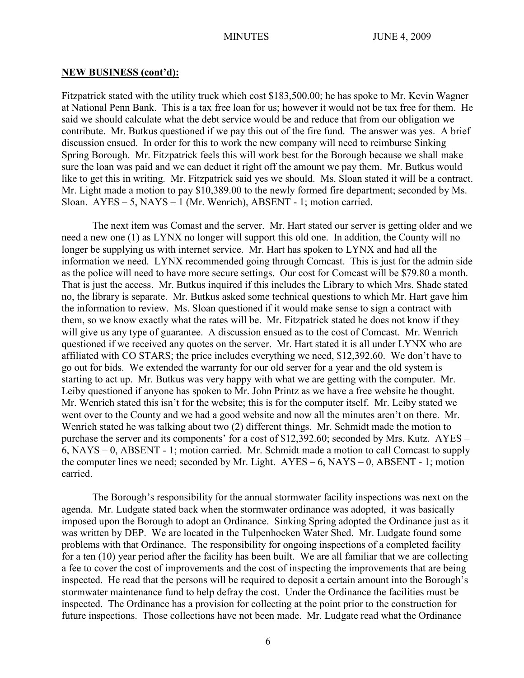Fitzpatrick stated with the utility truck which cost \$183,500.00; he has spoke to Mr. Kevin Wagner at National Penn Bank. This is a tax free loan for us; however it would not be tax free for them. He said we should calculate what the debt service would be and reduce that from our obligation we contribute. Mr. Butkus questioned if we pay this out of the fire fund. The answer was yes. A brief discussion ensued. In order for this to work the new company will need to reimburse Sinking Spring Borough. Mr. Fitzpatrick feels this will work best for the Borough because we shall make sure the loan was paid and we can deduct it right off the amount we pay them. Mr. Butkus would like to get this in writing. Mr. Fitzpatrick said yes we should. Ms. Sloan stated it will be a contract. Mr. Light made a motion to pay \$10,389.00 to the newly formed fire department; seconded by Ms. Sloan. AYES – 5, NAYS – 1 (Mr. Wenrich), ABSENT - 1; motion carried.

The next item was Comast and the server. Mr. Hart stated our server is getting older and we need a new one (1) as LYNX no longer will support this old one. In addition, the County will no longer be supplying us with internet service. Mr. Hart has spoken to LYNX and had all the information we need. LYNX recommended going through Comcast. This is just for the admin side as the police will need to have more secure settings. Our cost for Comcast will be \$79.80 a month. That is just the access. Mr. Butkus inquired if this includes the Library to which Mrs. Shade stated no, the library is separate. Mr. Butkus asked some technical questions to which Mr. Hart gave him the information to review. Ms. Sloan questioned if it would make sense to sign a contract with them, so we know exactly what the rates will be. Mr. Fitzpatrick stated he does not know if they will give us any type of guarantee. A discussion ensued as to the cost of Comcast. Mr. Wenrich questioned if we received any quotes on the server. Mr. Hart stated it is all under LYNX who are affiliated with CO STARS; the price includes everything we need, \$12,392.60. We don't have to go out for bids. We extended the warranty for our old server for a year and the old system is starting to act up. Mr. Butkus was very happy with what we are getting with the computer. Mr. Leiby questioned if anyone has spoken to Mr. John Printz as we have a free website he thought. Mr. Wenrich stated this isn't for the website; this is for the computer itself. Mr. Leiby stated we went over to the County and we had a good website and now all the minutes aren't on there. Mr. Wenrich stated he was talking about two (2) different things. Mr. Schmidt made the motion to purchase the server and its components' for a cost of \$12,392.60; seconded by Mrs. Kutz. AYES – 6, NAYS – 0, ABSENT - 1; motion carried. Mr. Schmidt made a motion to call Comcast to supply the computer lines we need; seconded by Mr. Light.  $AYES - 6$ ,  $NAYS - 0$ ,  $ABSENT - 1$ ; motion carried.

The Borough's responsibility for the annual stormwater facility inspections was next on the agenda. Mr. Ludgate stated back when the stormwater ordinance was adopted, it was basically imposed upon the Borough to adopt an Ordinance. Sinking Spring adopted the Ordinance just as it was written by DEP. We are located in the Tulpenhocken Water Shed. Mr. Ludgate found some problems with that Ordinance. The responsibility for ongoing inspections of a completed facility for a ten (10) year period after the facility has been built. We are all familiar that we are collecting a fee to cover the cost of improvements and the cost of inspecting the improvements that are being inspected. He read that the persons will be required to deposit a certain amount into the Borough's stormwater maintenance fund to help defray the cost. Under the Ordinance the facilities must be inspected. The Ordinance has a provision for collecting at the point prior to the construction for future inspections. Those collections have not been made. Mr. Ludgate read what the Ordinance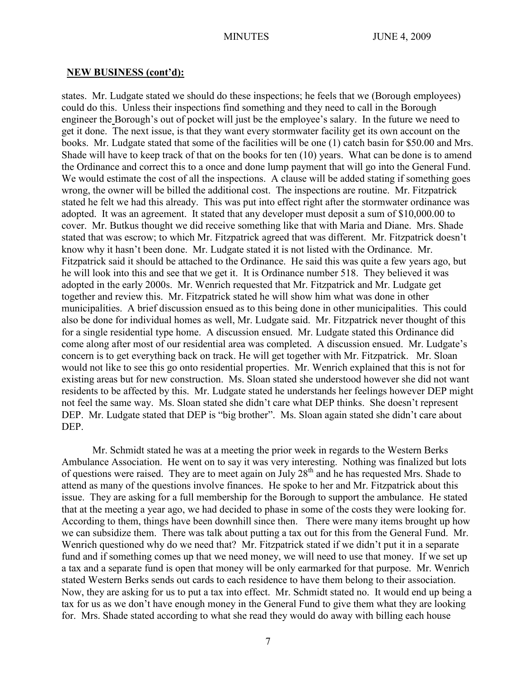states. Mr. Ludgate stated we should do these inspections; he feels that we (Borough employees) could do this. Unless their inspections find something and they need to call in the Borough engineer the Borough's out of pocket will just be the employee's salary. In the future we need to get it done. The next issue, is that they want every stormwater facility get its own account on the books. Mr. Ludgate stated that some of the facilities will be one (1) catch basin for \$50.00 and Mrs. Shade will have to keep track of that on the books for ten (10) years. What can be done is to amend the Ordinance and correct this to a once and done lump payment that will go into the General Fund. We would estimate the cost of all the inspections. A clause will be added stating if something goes wrong, the owner will be billed the additional cost. The inspections are routine. Mr. Fitzpatrick stated he felt we had this already. This was put into effect right after the stormwater ordinance was adopted. It was an agreement. It stated that any developer must deposit a sum of \$10,000.00 to cover. Mr. Butkus thought we did receive something like that with Maria and Diane. Mrs. Shade stated that was escrow; to which Mr. Fitzpatrick agreed that was different. Mr. Fitzpatrick doesn't know why it hasn't been done. Mr. Ludgate stated it is not listed with the Ordinance. Mr. Fitzpatrick said it should be attached to the Ordinance. He said this was quite a few years ago, but he will look into this and see that we get it. It is Ordinance number 518. They believed it was adopted in the early 2000s. Mr. Wenrich requested that Mr. Fitzpatrick and Mr. Ludgate get together and review this. Mr. Fitzpatrick stated he will show him what was done in other municipalities. A brief discussion ensued as to this being done in other municipalities. This could also be done for individual homes as well, Mr. Ludgate said. Mr. Fitzpatrick never thought of this for a single residential type home. A discussion ensued. Mr. Ludgate stated this Ordinance did come along after most of our residential area was completed. A discussion ensued. Mr. Ludgate's concern is to get everything back on track. He will get together with Mr. Fitzpatrick. Mr. Sloan would not like to see this go onto residential properties. Mr. Wenrich explained that this is not for existing areas but for new construction. Ms. Sloan stated she understood however she did not want residents to be affected by this. Mr. Ludgate stated he understands her feelings however DEP might not feel the same way. Ms. Sloan stated she didn't care what DEP thinks. She doesn't represent DEP. Mr. Ludgate stated that DEP is "big brother". Ms. Sloan again stated she didn't care about DEP.

Mr. Schmidt stated he was at a meeting the prior week in regards to the Western Berks Ambulance Association. He went on to say it was very interesting. Nothing was finalized but lots of questions were raised. They are to meet again on July 28<sup>th</sup> and he has requested Mrs. Shade to attend as many of the questions involve finances. He spoke to her and Mr. Fitzpatrick about this issue. They are asking for a full membership for the Borough to support the ambulance. He stated that at the meeting a year ago, we had decided to phase in some of the costs they were looking for. According to them, things have been downhill since then. There were many items brought up how we can subsidize them. There was talk about putting a tax out for this from the General Fund. Mr. Wenrich questioned why do we need that? Mr. Fitzpatrick stated if we didn't put it in a separate fund and if something comes up that we need money, we will need to use that money. If we set up a tax and a separate fund is open that money will be only earmarked for that purpose. Mr. Wenrich stated Western Berks sends out cards to each residence to have them belong to their association. Now, they are asking for us to put a tax into effect. Mr. Schmidt stated no. It would end up being a tax for us as we don't have enough money in the General Fund to give them what they are looking for. Mrs. Shade stated according to what she read they would do away with billing each house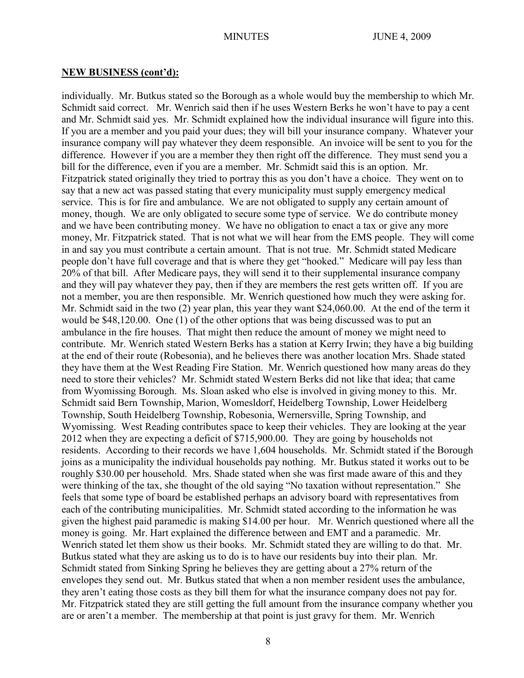individually. Mr. Butkus stated so the Borough as a whole would buy the membership to which Mr. Schmidt said correct. Mr. Wenrich said then if he uses Western Berks he won't have to pay a cent and Mr. Schmidt said yes. Mr. Schmidt explained how the individual insurance will figure into this. If you are a member and you paid your dues; they will bill your insurance company. Whatever your insurance company will pay whatever they deem responsible. An invoice will be sent to you for the difference. However if you are a member they then right off the difference. They must send you a bill for the difference, even if you are a member. Mr. Schmidt said this is an option. Mr. Fitzpatrick stated originally they tried to portray this as you don't have a choice. They went on to say that a new act was passed stating that every municipality must supply emergency medical service. This is for fire and ambulance. We are not obligated to supply any certain amount of money, though. We are only obligated to secure some type of service. We do contribute money and we have been contributing money. We have no obligation to enact a tax or give any more money, Mr. Fitzpatrick stated. That is not what we will hear from the EMS people. They will come in and say you must contribute a certain amount. That is not true. Mr. Schmidt stated Medicare people don't have full coverage and that is where they get "hooked." Medicare will pay less than 20% of that bill. After Medicare pays, they will send it to their supplemental insurance company and they will pay whatever they pay, then if they are members the rest gets written off. If you are not a member, you are then responsible. Mr. Wenrich questioned how much they were asking for. Mr. Schmidt said in the two (2) year plan, this year they want \$24,060.00. At the end of the term it would be \$48,120.00. One (1) of the other options that was being discussed was to put an ambulance in the fire houses. That might then reduce the amount of money we might need to contribute. Mr. Wenrich stated Western Berks has a station at Kerry Irwin; they have a big building at the end of their route (Robesonia), and he believes there was another location Mrs. Shade stated they have them at the West Reading Fire Station. Mr. Wenrich questioned how many areas do they need to store their vehicles? Mr. Schmidt stated Western Berks did not like that idea; that came from Wyomissing Borough. Ms. Sloan asked who else is involved in giving money to this. Mr. Schmidt said Bern Township, Marion, Womesldorf, Heidelberg Township, Lower Heidelberg Township, South Heidelberg Township, Robesonia, Wernersville, Spring Township, and Wyomissing. West Reading contributes space to keep their vehicles. They are looking at the year 2012 when they are expecting a deficit of \$715,900.00. They are going by households not residents. According to their records we have 1,604 households. Mr. Schmidt stated if the Borough joins as a municipality the individual households pay nothing. Mr. Butkus stated it works out to be roughly \$30.00 per household. Mrs. Shade stated when she was first made aware of this and they were thinking of the tax, she thought of the old saying "No taxation without representation." She feels that some type of board be established perhaps an advisory board with representatives from each of the contributing municipalities. Mr. Schmidt stated according to the information he was given the highest paid paramedic is making \$14.00 per hour. Mr. Wenrich questioned where all the money is going. Mr. Hart explained the difference between and EMT and a paramedic. Mr. Wenrich stated let them show us their books. Mr. Schmidt stated they are willing to do that. Mr. Butkus stated what they are asking us to do is to have our residents buy into their plan. Mr. Schmidt stated from Sinking Spring he believes they are getting about a 27% return of the envelopes they send out. Mr. Butkus stated that when a non member resident uses the ambulance, they aren't eating those costs as they bill them for what the insurance company does not pay for. Mr. Fitzpatrick stated they are still getting the full amount from the insurance company whether you are or aren't a member. The membership at that point is just gravy for them. Mr. Wenrich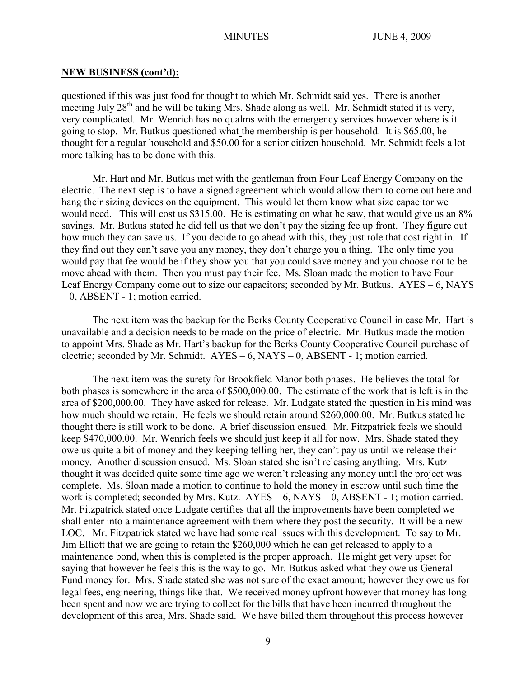questioned if this was just food for thought to which Mr. Schmidt said yes. There is another meeting July  $28<sup>th</sup>$  and he will be taking Mrs. Shade along as well. Mr. Schmidt stated it is very, very complicated. Mr. Wenrich has no qualms with the emergency services however where is it going to stop. Mr. Butkus questioned what the membership is per household. It is \$65.00, he thought for a regular household and \$50.00 for a senior citizen household. Mr. Schmidt feels a lot more talking has to be done with this.

Mr. Hart and Mr. Butkus met with the gentleman from Four Leaf Energy Company on the electric. The next step is to have a signed agreement which would allow them to come out here and hang their sizing devices on the equipment. This would let them know what size capacitor we would need. This will cost us \$315.00. He is estimating on what he saw, that would give us an  $8\%$ savings. Mr. Butkus stated he did tell us that we don't pay the sizing fee up front. They figure out how much they can save us. If you decide to go ahead with this, they just role that cost right in. If they find out they can't save you any money, they don't charge you a thing. The only time you would pay that fee would be if they show you that you could save money and you choose not to be move ahead with them. Then you must pay their fee. Ms. Sloan made the motion to have Four Leaf Energy Company come out to size our capacitors; seconded by Mr. Butkus. AYES – 6, NAYS – 0, ABSENT - 1; motion carried.

The next item was the backup for the Berks County Cooperative Council in case Mr. Hart is unavailable and a decision needs to be made on the price of electric. Mr. Butkus made the motion to appoint Mrs. Shade as Mr. Hart's backup for the Berks County Cooperative Council purchase of electric; seconded by Mr. Schmidt. AYES – 6, NAYS – 0, ABSENT - 1; motion carried.

The next item was the surety for Brookfield Manor both phases. He believes the total for both phases is somewhere in the area of \$500,000.00. The estimate of the work that is left is in the area of \$200,000.00. They have asked for release. Mr. Ludgate stated the question in his mind was how much should we retain. He feels we should retain around \$260,000.00. Mr. Butkus stated he thought there is still work to be done. A brief discussion ensued. Mr. Fitzpatrick feels we should keep \$470,000.00. Mr. Wenrich feels we should just keep it all for now. Mrs. Shade stated they owe us quite a bit of money and they keeping telling her, they can't pay us until we release their money. Another discussion ensued. Ms. Sloan stated she isn't releasing anything. Mrs. Kutz thought it was decided quite some time ago we weren't releasing any money until the project was complete. Ms. Sloan made a motion to continue to hold the money in escrow until such time the work is completed; seconded by Mrs. Kutz. AYES – 6, NAYS – 0, ABSENT - 1; motion carried. Mr. Fitzpatrick stated once Ludgate certifies that all the improvements have been completed we shall enter into a maintenance agreement with them where they post the security. It will be a new LOC. Mr. Fitzpatrick stated we have had some real issues with this development. To say to Mr. Jim Elliott that we are going to retain the \$260,000 which he can get released to apply to a maintenance bond, when this is completed is the proper approach. He might get very upset for saying that however he feels this is the way to go. Mr. Butkus asked what they owe us General Fund money for. Mrs. Shade stated she was not sure of the exact amount; however they owe us for legal fees, engineering, things like that. We received money upfront however that money has long been spent and now we are trying to collect for the bills that have been incurred throughout the development of this area, Mrs. Shade said. We have billed them throughout this process however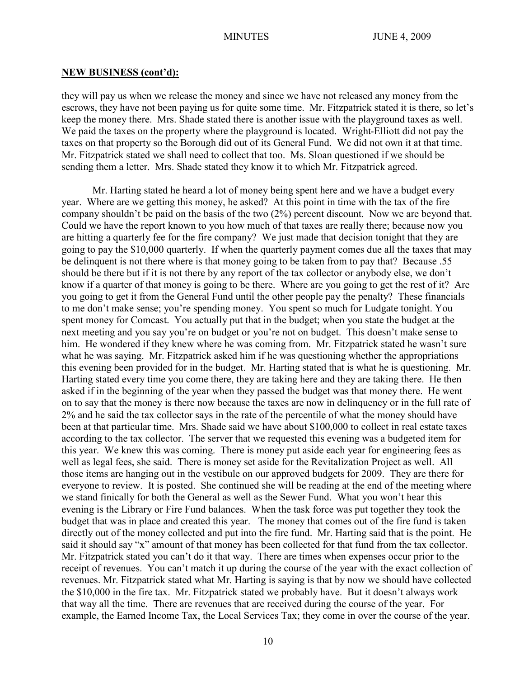they will pay us when we release the money and since we have not released any money from the escrows, they have not been paying us for quite some time. Mr. Fitzpatrick stated it is there, so let's keep the money there. Mrs. Shade stated there is another issue with the playground taxes as well. We paid the taxes on the property where the playground is located. Wright-Elliott did not pay the taxes on that property so the Borough did out of its General Fund. We did not own it at that time. Mr. Fitzpatrick stated we shall need to collect that too. Ms. Sloan questioned if we should be sending them a letter. Mrs. Shade stated they know it to which Mr. Fitzpatrick agreed.

Mr. Harting stated he heard a lot of money being spent here and we have a budget every year. Where are we getting this money, he asked? At this point in time with the tax of the fire company shouldn't be paid on the basis of the two (2%) percent discount. Now we are beyond that. Could we have the report known to you how much of that taxes are really there; because now you are hitting a quarterly fee for the fire company? We just made that decision tonight that they are going to pay the \$10,000 quarterly. If when the quarterly payment comes due all the taxes that may be delinquent is not there where is that money going to be taken from to pay that? Because .55 should be there but if it is not there by any report of the tax collector or anybody else, we don't know if a quarter of that money is going to be there. Where are you going to get the rest of it? Are you going to get it from the General Fund until the other people pay the penalty? These financials to me don't make sense; you're spending money. You spent so much for Ludgate tonight. You spent money for Comcast. You actually put that in the budget; when you state the budget at the next meeting and you say you're on budget or you're not on budget. This doesn't make sense to him. He wondered if they knew where he was coming from. Mr. Fitzpatrick stated he wasn't sure what he was saying. Mr. Fitzpatrick asked him if he was questioning whether the appropriations this evening been provided for in the budget. Mr. Harting stated that is what he is questioning. Mr. Harting stated every time you come there, they are taking here and they are taking there. He then asked if in the beginning of the year when they passed the budget was that money there. He went on to say that the money is there now because the taxes are now in delinquency or in the full rate of 2% and he said the tax collector says in the rate of the percentile of what the money should have been at that particular time. Mrs. Shade said we have about \$100,000 to collect in real estate taxes according to the tax collector. The server that we requested this evening was a budgeted item for this year. We knew this was coming. There is money put aside each year for engineering fees as well as legal fees, she said. There is money set aside for the Revitalization Project as well. All those items are hanging out in the vestibule on our approved budgets for 2009. They are there for everyone to review. It is posted. She continued she will be reading at the end of the meeting where we stand finically for both the General as well as the Sewer Fund. What you won't hear this evening is the Library or Fire Fund balances. When the task force was put together they took the budget that was in place and created this year. The money that comes out of the fire fund is taken directly out of the money collected and put into the fire fund. Mr. Harting said that is the point. He said it should say "x" amount of that money has been collected for that fund from the tax collector. Mr. Fitzpatrick stated you can't do it that way. There are times when expenses occur prior to the receipt of revenues. You can't match it up during the course of the year with the exact collection of revenues. Mr. Fitzpatrick stated what Mr. Harting is saying is that by now we should have collected the \$10,000 in the fire tax. Mr. Fitzpatrick stated we probably have. But it doesn't always work that way all the time. There are revenues that are received during the course of the year. For example, the Earned Income Tax, the Local Services Tax; they come in over the course of the year.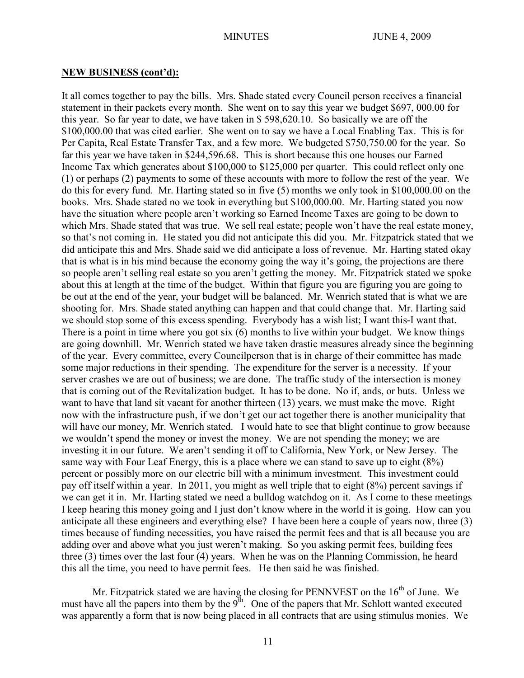It all comes together to pay the bills. Mrs. Shade stated every Council person receives a financial statement in their packets every month. She went on to say this year we budget \$697, 000.00 for this year. So far year to date, we have taken in \$ 598,620.10. So basically we are off the \$100,000.00 that was cited earlier. She went on to say we have a Local Enabling Tax. This is for Per Capita, Real Estate Transfer Tax, and a few more. We budgeted \$750,750.00 for the year. So far this year we have taken in \$244,596.68. This is short because this one houses our Earned Income Tax which generates about \$100,000 to \$125,000 per quarter. This could reflect only one (1) or perhaps (2) payments to some of these accounts with more to follow the rest of the year. We do this for every fund. Mr. Harting stated so in five (5) months we only took in \$100,000.00 on the books. Mrs. Shade stated no we took in everything but \$100,000.00. Mr. Harting stated you now have the situation where people aren't working so Earned Income Taxes are going to be down to which Mrs. Shade stated that was true. We sell real estate; people won't have the real estate money, so that's not coming in. He stated you did not anticipate this did you. Mr. Fitzpatrick stated that we did anticipate this and Mrs. Shade said we did anticipate a loss of revenue. Mr. Harting stated okay that is what is in his mind because the economy going the way it's going, the projections are there so people aren't selling real estate so you aren't getting the money. Mr. Fitzpatrick stated we spoke about this at length at the time of the budget. Within that figure you are figuring you are going to be out at the end of the year, your budget will be balanced. Mr. Wenrich stated that is what we are shooting for. Mrs. Shade stated anything can happen and that could change that. Mr. Harting said we should stop some of this excess spending. Everybody has a wish list; I want this-I want that. There is a point in time where you got six (6) months to live within your budget. We know things are going downhill. Mr. Wenrich stated we have taken drastic measures already since the beginning of the year. Every committee, every Councilperson that is in charge of their committee has made some major reductions in their spending. The expenditure for the server is a necessity. If your server crashes we are out of business; we are done. The traffic study of the intersection is money that is coming out of the Revitalization budget. It has to be done. No if, ands, or buts. Unless we want to have that land sit vacant for another thirteen (13) years, we must make the move. Right now with the infrastructure push, if we don't get our act together there is another municipality that will have our money, Mr. Wenrich stated. I would hate to see that blight continue to grow because we wouldn't spend the money or invest the money. We are not spending the money; we are investing it in our future. We aren't sending it off to California, New York, or New Jersey. The same way with Four Leaf Energy, this is a place where we can stand to save up to eight (8%) percent or possibly more on our electric bill with a minimum investment. This investment could pay off itself within a year. In 2011, you might as well triple that to eight (8%) percent savings if we can get it in. Mr. Harting stated we need a bulldog watchdog on it. As I come to these meetings I keep hearing this money going and I just don't know where in the world it is going. How can you anticipate all these engineers and everything else? I have been here a couple of years now, three (3) times because of funding necessities, you have raised the permit fees and that is all because you are adding over and above what you just weren't making. So you asking permit fees, building fees three (3) times over the last four (4) years. When he was on the Planning Commission, he heard this all the time, you need to have permit fees. He then said he was finished.

Mr. Fitzpatrick stated we are having the closing for PENNVEST on the  $16<sup>th</sup>$  of June. We must have all the papers into them by the  $9<sup>th</sup>$ . One of the papers that Mr. Schlott wanted executed was apparently a form that is now being placed in all contracts that are using stimulus monies. We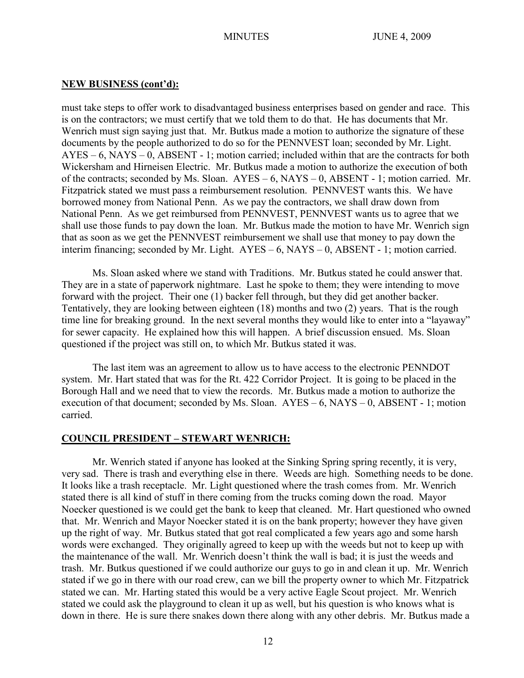must take steps to offer work to disadvantaged business enterprises based on gender and race. This is on the contractors; we must certify that we told them to do that. He has documents that Mr. Wenrich must sign saying just that. Mr. Butkus made a motion to authorize the signature of these documents by the people authorized to do so for the PENNVEST loan; seconded by Mr. Light. AYES – 6, NAYS – 0, ABSENT - 1; motion carried; included within that are the contracts for both Wickersham and Hirneisen Electric. Mr. Butkus made a motion to authorize the execution of both of the contracts; seconded by Ms. Sloan. AYES – 6, NAYS – 0, ABSENT - 1; motion carried. Mr. Fitzpatrick stated we must pass a reimbursement resolution. PENNVEST wants this. We have borrowed money from National Penn. As we pay the contractors, we shall draw down from National Penn. As we get reimbursed from PENNVEST, PENNVEST wants us to agree that we shall use those funds to pay down the loan. Mr. Butkus made the motion to have Mr. Wenrich sign that as soon as we get the PENNVEST reimbursement we shall use that money to pay down the interim financing; seconded by Mr. Light. AYES – 6, NAYS – 0, ABSENT - 1; motion carried.

Ms. Sloan asked where we stand with Traditions. Mr. Butkus stated he could answer that. They are in a state of paperwork nightmare. Last he spoke to them; they were intending to move forward with the project. Their one (1) backer fell through, but they did get another backer. Tentatively, they are looking between eighteen (18) months and two (2) years. That is the rough time line for breaking ground. In the next several months they would like to enter into a "layaway" for sewer capacity. He explained how this will happen. A brief discussion ensued. Ms. Sloan questioned if the project was still on, to which Mr. Butkus stated it was.

The last item was an agreement to allow us to have access to the electronic PENNDOT system. Mr. Hart stated that was for the Rt. 422 Corridor Project. It is going to be placed in the Borough Hall and we need that to view the records. Mr. Butkus made a motion to authorize the execution of that document; seconded by Ms. Sloan. AYES – 6, NAYS – 0, ABSENT - 1; motion carried.

### **COUNCIL PRESIDENT – STEWART WENRICH:**

Mr. Wenrich stated if anyone has looked at the Sinking Spring spring recently, it is very, very sad. There is trash and everything else in there. Weeds are high. Something needs to be done. It looks like a trash receptacle. Mr. Light questioned where the trash comes from. Mr. Wenrich stated there is all kind of stuff in there coming from the trucks coming down the road. Mayor Noecker questioned is we could get the bank to keep that cleaned. Mr. Hart questioned who owned that. Mr. Wenrich and Mayor Noecker stated it is on the bank property; however they have given up the right of way. Mr. Butkus stated that got real complicated a few years ago and some harsh words were exchanged. They originally agreed to keep up with the weeds but not to keep up with the maintenance of the wall. Mr. Wenrich doesn't think the wall is bad; it is just the weeds and trash. Mr. Butkus questioned if we could authorize our guys to go in and clean it up. Mr. Wenrich stated if we go in there with our road crew, can we bill the property owner to which Mr. Fitzpatrick stated we can. Mr. Harting stated this would be a very active Eagle Scout project. Mr. Wenrich stated we could ask the playground to clean it up as well, but his question is who knows what is down in there. He is sure there snakes down there along with any other debris. Mr. Butkus made a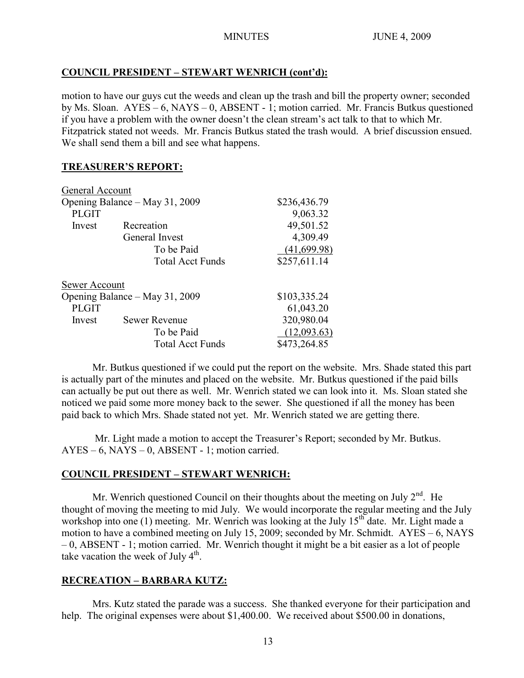# **COUNCIL PRESIDENT – STEWART WENRICH (cont'd):**

motion to have our guys cut the weeds and clean up the trash and bill the property owner; seconded by Ms. Sloan. AYES – 6, NAYS – 0, ABSENT - 1; motion carried. Mr. Francis Butkus questioned if you have a problem with the owner doesn't the clean stream's act talk to that to which Mr. Fitzpatrick stated not weeds. Mr. Francis Butkus stated the trash would. A brief discussion ensued. We shall send them a bill and see what happens.

## **TREASURER'S REPORT:**

| General Account                |                         |              |
|--------------------------------|-------------------------|--------------|
| Opening Balance – May 31, 2009 |                         | \$236,436.79 |
| <b>PLGIT</b>                   |                         | 9,063.32     |
| Invest                         | Recreation              | 49,501.52    |
|                                | General Invest          | 4,309.49     |
|                                | To be Paid              | (41, 699.98) |
|                                | <b>Total Acct Funds</b> | \$257,611.14 |
| Sewer Account                  |                         |              |
| Opening Balance – May 31, 2009 |                         | \$103,335.24 |
| <b>PLGIT</b>                   |                         | 61,043.20    |
| Invest                         | <b>Sewer Revenue</b>    | 320,980.04   |
|                                | To be Paid              | (12,093.63)  |
|                                | <b>Total Acct Funds</b> | \$473,264.85 |

Mr. Butkus questioned if we could put the report on the website. Mrs. Shade stated this part is actually part of the minutes and placed on the website. Mr. Butkus questioned if the paid bills can actually be put out there as well. Mr. Wenrich stated we can look into it. Ms. Sloan stated she noticed we paid some more money back to the sewer. She questioned if all the money has been paid back to which Mrs. Shade stated not yet. Mr. Wenrich stated we are getting there.

Mr. Light made a motion to accept the Treasurer's Report; seconded by Mr. Butkus. AYES – 6, NAYS – 0, ABSENT - 1; motion carried.

# **COUNCIL PRESIDENT – STEWART WENRICH:**

Mr. Wenrich questioned Council on their thoughts about the meeting on July  $2^{nd}$ . He thought of moving the meeting to mid July. We would incorporate the regular meeting and the July workshop into one (1) meeting. Mr. Wenrich was looking at the July  $15<sup>th</sup>$  date. Mr. Light made a motion to have a combined meeting on July 15, 2009; seconded by Mr. Schmidt. AYES – 6, NAYS – 0, ABSENT - 1; motion carried. Mr. Wenrich thought it might be a bit easier as a lot of people take vacation the week of July  $4<sup>th</sup>$ .

# **RECREATION – BARBARA KUTZ:**

Mrs. Kutz stated the parade was a success. She thanked everyone for their participation and help. The original expenses were about \$1,400.00. We received about \$500.00 in donations,